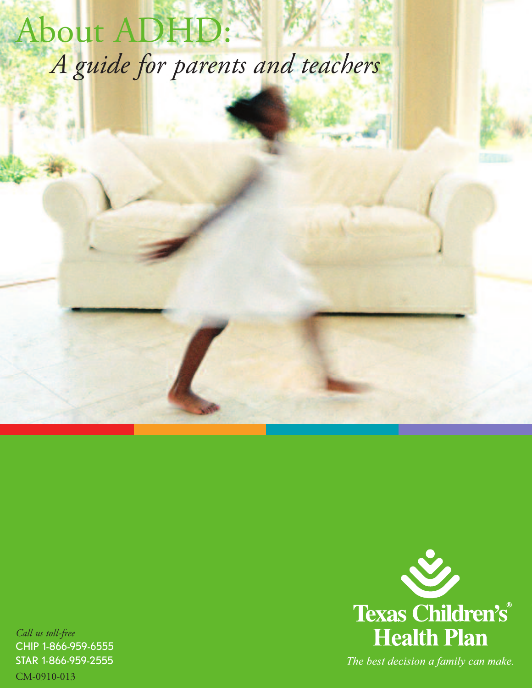# About ADHD: *A guide for parents and teachers*

*Call us toll-free* CHIP 1-866-959-6555 STAR 1-866-959-2555



CM-0910-013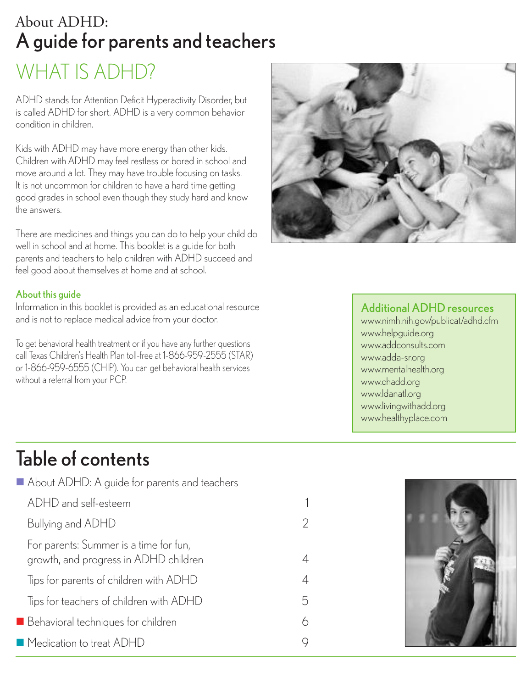### WHAT IS ADHD? About ADHD: Aguide for parents and teachers

ADHD stands for Attention Deficit Hyperactivity Disorder, but is called ADHD for short. ADHD is a very common behavior condition in children.

Kids with ADHD may have more energy than other kids. Children with ADHD may feel restless or bored in school and move around a lot. They may have trouble focusing on tasks. It is not uncommon for children to have a hard time getting good grades in school even though they study hard and know the answers.

There are medicines and things you can do to help your child do well in school and at home. This booklet is a guide for both parents and teachers to help children with ADHD succeed and feel good about themselves at home and at school.

#### About this guide

Information in this booklet is provided as an educational resource and is not to replace medical advice from your doctor.

To get behavioral health treatment or if you have any further questions call Texas Children's Health Plan toll-free at 1-866-959-2555 (STAR) or 1-866-959-6555 (CHIP). You can get behavioral health services without a referral from your PCP.



#### Additional ADHD resources

www.nimh.nih.gov/publicat/adhd.cfm www.helpguide.org www.addconsults.com www.adda-sr.org www.mentalhealth.org www.chadd.org www.ldanatl.org www.livingwithadd.org www.healthyplace.com

### Table of contents

| About ADHD: A guide for parents and teachers                                    |   |
|---------------------------------------------------------------------------------|---|
| ADHD and self-esteem                                                            | 1 |
| Bullying and ADHD                                                               | 2 |
| For parents: Summer is a time for fun,<br>growth, and progress in ADHD children | 4 |
| Tips for parents of children with ADHD                                          | 4 |
| Tips for teachers of children with ADHD                                         | 5 |
| Behavioral techniques for children                                              | 6 |
| ■ Medication to treat ADHD                                                      | 9 |

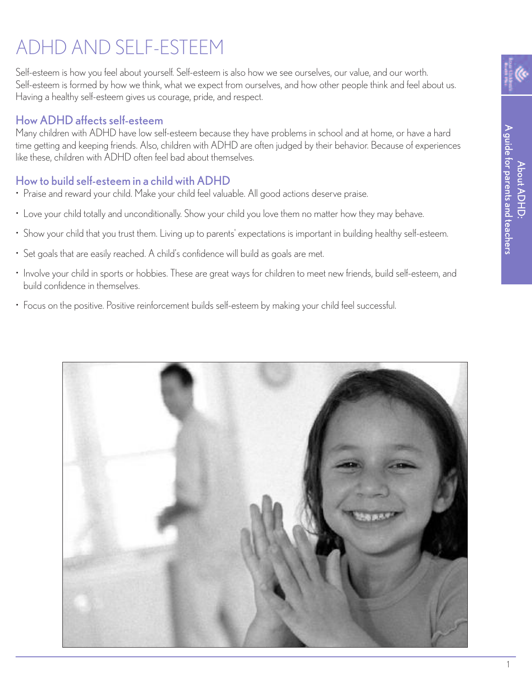## ADHD AND SELF-ESTEEM

Self-esteem is how you feel about yourself. Self-esteem is also how we see ourselves, our value, and our worth. Self-esteem is formed by how we think, what we expect from ourselves, and how other people think and feel about us. Having a healthy self-esteem gives us courage, pride, and respect.

#### HowADHDaffectsself-esteem

Many children with ADHD have low self-esteem because they have problems in school and at home, or have a hard time getting and keeping friends. Also, children with ADHD are often judged by their behavior. Because of experiences like these, children with ADHD often feel bad about themselves.

#### How to build self-esteem in a child withADHD

- Praise and reward your child. Make your child feel valuable. All good actions deserve praise.
- Love your child totally and unconditionally. Show your child you love them no matter how they may behave.
- Show your child that you trust them. Living up to parents' expectations is important in building healthy self-esteem.
- Set goals that are easily reached. A child's confidence will build as goals are met.
- Involve your child in sports or hobbies. These are great ways for children to meet new friends, build self-esteem, and build confidence in themselves.
- Focus on the positive. Positive reinforcement builds self-esteem by making your child feel successful.

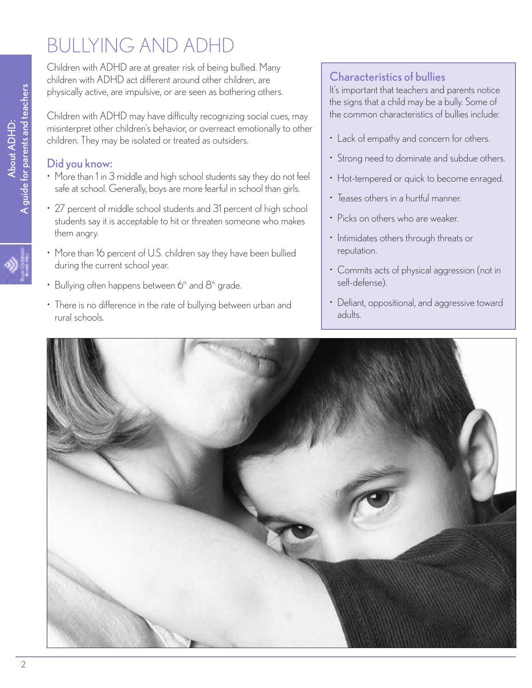## BULLYING AND ADHD

Children with ADHD are at greater risk of being bullied. Many children with ADHD act different around other children, are physically active, are impulsive, or are seen as bothering others.

Children with ADHD may have difficulty recognizing social cues, may misinterpret other children's behavior, or overreact emotionally to other children. They may be isolated or treated as outsiders.

#### Did you know:

- More than 1 in 3 middle and high school students say they do not feel safe at school. Generally, boys are more fearful in school than girls.
- 27 percent of middle school students and 31 percent of high school students say it is acceptable to hit or threaten someone who makes them angry.
- More than 16 percent of U.S. children say they have been bullied during the current school year.
- Bullying often happens between  $6<sup>th</sup>$  and  $8<sup>th</sup>$  grade.
- There is no difference in the rate of bullying between urban and rural schools.

#### Characteristics of bullies

It's important that teachers and parents notice the signs that a child may be a bully. Some of the common characteristics of bullies include:

- Lack of empathy and concern for others.
- Strong need to dominate and subdue others.
- Hot-tempered or quick to become enraged.
- Teases others in a hurtful manner.
- Picks on others who are weaker.
- Intimidates others through threats or reputation.
- Commits acts of physical aggression (not in self-defense).
- Defiant, oppositional, and aggressive toward adults.



 $\blacktriangleleft$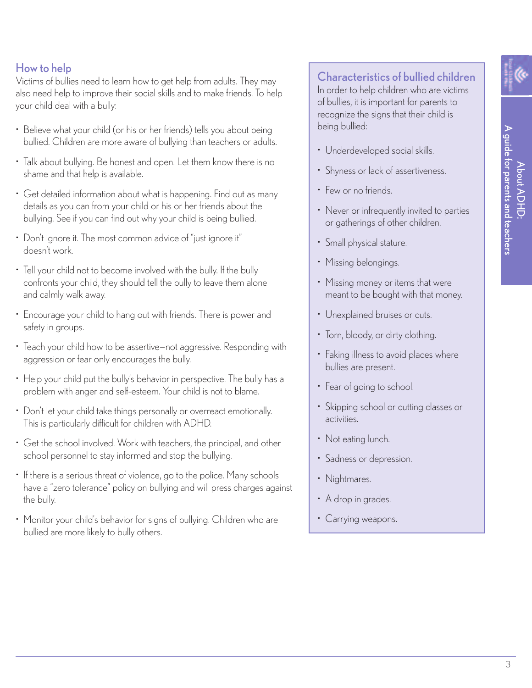#### How to help

Victims of bullies need to learn how to get help from adults. They may also need help to improve their social skills and to make friends. To help your child deal with a bully:

- Believe what your child (or his or her friends) tells you about being bullied. Children are more aware of bullying than teachers or adults.
- Talk about bullying. Be honest and open. Let them know there is no shame and that help is available.
- Get detailed information about what is happening. Find out as many details as you can from your child or his or her friends about the bullying. See if you can find out why your child is being bullied.
- Don't ignore it. The most common advice of "just ignore it" doesn't work.
- Tell your child not to become involved with the bully. If the bully confronts your child, they should tell the bully to leave them alone and calmly walk away.
- Encourage your child to hang out with friends. There is power and safety in groups.
- Teach your child how to be assertive—not aggressive. Responding with aggression or fear only encourages the bully.
- Help your child put the bully's behavior in perspective. The bully has a problem with anger and self-esteem. Your child is not to blame.
- Don't let your child take things personally or overreact emotionally. This is particularly difficult for children with ADHD.
- Get the school involved. Work with teachers, the principal, and other school personnel to stay informed and stop the bullying.
- If there is a serious threat of violence, go to the police. Many schools have a "zero tolerance" policy on bullying and will press charges against the bully.
- Monitor your child's behavior for signs of bullying. Children who are bullied are more likely to bully others.

#### Characteristics of bullied children

In order to help children who are victims of bullies, it is important for parents to recognize the signs that their child is being bullied:

- Underdeveloped social skills.
- Shyness or lack of assertiveness.
- Few or no friends.
- Never or infrequently invited to parties or gatherings of other children.
- Small physical stature.
- Missing belongings.
- Missing money or items that were meant to be bought with that money.
- Unexplained bruises or cuts.
- Torn, bloody, or dirty clothing.
- Faking illness to avoid places where bullies are present.
- Fear of going to school.
- Skipping school or cutting classes or activities.
- Not eating lunch.
- Sadness or depression.
- Nightmares.
- A drop in grades.
- Carrying weapons.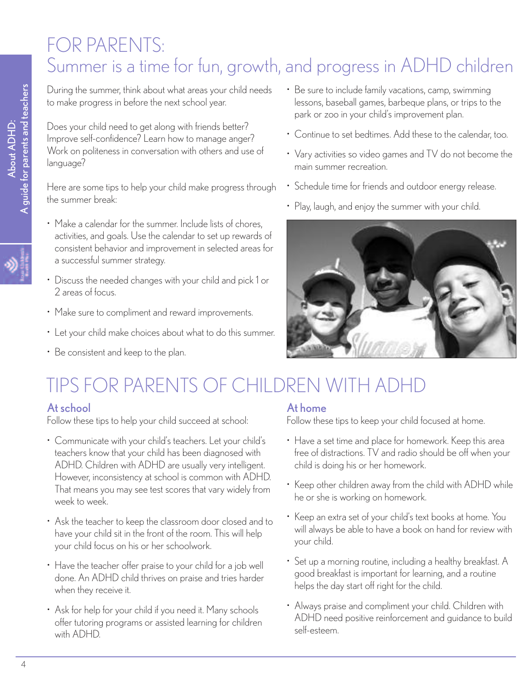### FOR PARENTS: Summer is a time for fun, growth, and progress in ADHD children

During the summer, think about what areas your child needs to make progress in before the next school year.

Does your child need to get along with friends better? Improve self-confidence? Learn how to manage anger? Work on politeness in conversation with others and use of language?

Here are some tips to help your child make progress through the summer break:

- Make a calendar for the summer. Include lists of chores, activities, and goals. Use the calendar to set up rewards of consistent behavior and improvement in selected areas for a successful summer strategy.
- Discuss the needed changes with your child and pick 1 or 2 areas of focus.
- Make sure to compliment and reward improvements.
- Let your child make choices about what to do this summer.
- Be consistent and keep to the plan.
- Be sure to include family vacations, camp, swimming lessons, baseball games, barbeque plans, or trips to the park or zoo in your child's improvement plan.
- Continue to set bedtimes. Add these to the calendar, too.
- Vary activities so video games and TV do not become the main summer recreation.
- Schedule time for friends and outdoor energy release.
- Play, laugh, and enjoy the summer with your child.



## TIPS FOR PARENTS OF CHILDREN WITH ADHD

#### Atschool

Follow these tips to help your child succeed at school:

- Communicate with your child's teachers. Let your child's teachers know that your child has been diagnosed with ADHD. Children with ADHD are usually very intelligent. However, inconsistency at school is common with ADHD. That means you may see test scores that vary widely from week to week.
- Ask the teacher to keep the classroom door closed and to have your child sit in the front of the room. This will help your child focus on his or her schoolwork.
- Have the teacher offer praise to your child for a job well done. An ADHD child thrives on praise and tries harder when they receive it.
- Ask for help for your child if you need it. Many schools offer tutoring programs or assisted learning for children with ADHD.

#### At home

Follow these tips to keep your child focused at home.

- Have a set time and place for homework. Keep this area free of distractions. TV and radio should be off when your child is doing his or her homework.
- Keep other children away from the child with ADHD while he or she is working on homework.
- Keep an extra set of your child's text books at home. You will always be able to have a book on hand for review with your child.
- Set up a morning routine, including a healthy breakfast. A good breakfast is important for learning, and a routine helps the day start off right for the child.
- Always praise and compliment your child. Children with ADHD need positive reinforcement and guidance to build self-esteem.

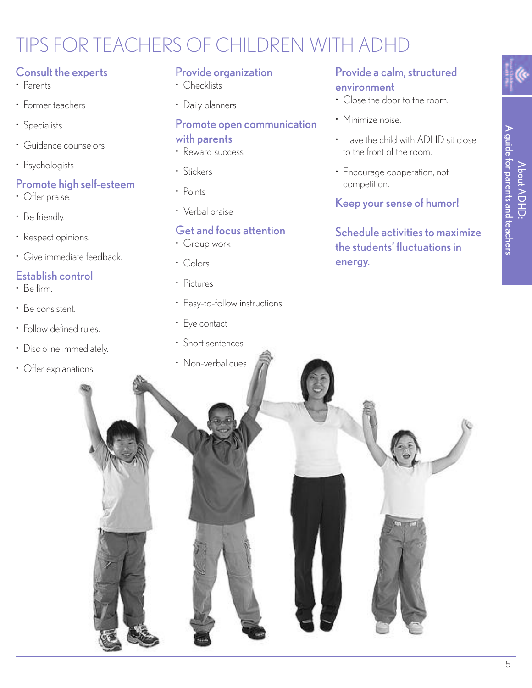## TIPS FOR TEACHERS OF CHILDREN WITH ADHD

#### Consult the experts

- Parents
- Former teachers
- Specialists
- Guidance counselors
- Psychologists

#### Promote high self-esteem

- Offer praise.
- Be friendly.
- Respect opinions.
- Give immediate feedback.

#### Establish control

- Be firm.
- Be consistent.
- Follow defined rules.
- Discipline immediately.
- Offer explanations.

#### Provide organization

- Checklists
- Daily planners

#### Promote open communication with parents

- Reward success
- Stickers
- Points
- Verbal praise

#### Get and focus attention

- Group work
- Colors
- Pictures
- Easy-to-follow instructions
- Eye contact
- Short sentences

#### Provide a calm, structured

#### environment

- Close the door to the room.
- Minimize noise.
- Have the child with ADHD sit close to the front of the room.
- Encourage cooperation, not competition.

#### Keep your sense of humor!

#### Schedule activities to maximize the students' fluctuations in energy.

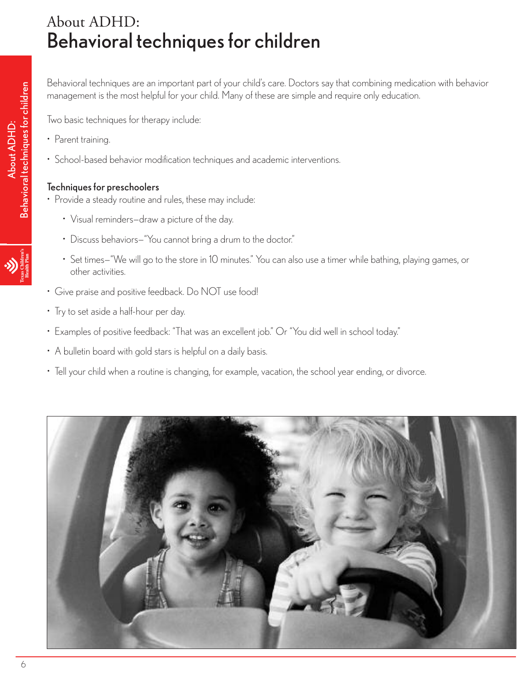### About ADHD: Behavioral techniques for children

Behavioral techniques are an important part of your child's care. Doctors say that combining medication with behavior management is the most helpful for your child. Many of these are simple and require only education.

Two basic techniques for therapy include:

- Parent training.
- School-based behavior modification techniques and academic interventions.

#### Techniques for preschoolers

- Provide a steady routine and rules, these may include:
	- Visual reminders—draw a picture of the day.
	- Discuss behaviors-"You cannot bring a drum to the doctor."
	- Set times—"We will go to the store in 10 minutes." You can also use a timer while bathing, playing games, or other activities.
- Give praise and positive feedback. Do NOT use food!
- Try to set aside a half-hour per day.
- Examples of positive feedback: "That was an excellent job." Or "You did well in school today."
- A bulletin board with gold stars is helpful on a daily basis.
- Tell your child when a routine is changing, for example, vacation, the school year ending, or divorce.



 $\mathbf{p}$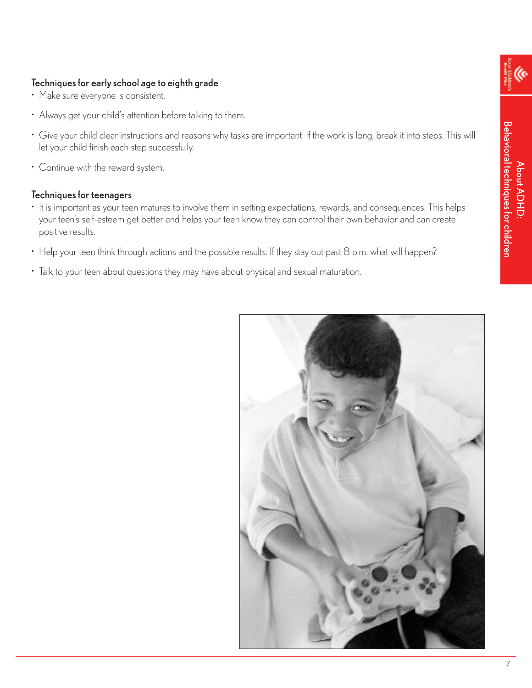#### Techniques for early school age to eighth grade

- Make sure everyone is consistent.
- Always get your child's attention before talking to them.
- Give your child clear instructions and reasons why tasks are important. If the work is long, break it into steps. This will let your child finish each step successfully.
- Continue with the reward system.

#### Techniques for teenagers

- It is important as your teen matures to involve them in setting expectations, rewards, and consequences. This helps your teen's self-esteem get better and helps your teen know they can control their own behavior and can create positive results.
- Help your teen think through actions and the possible results. If they stay out past 8 p.m. what will happen?
- Talk to your teen about questions they may have about physical and sexual maturation.

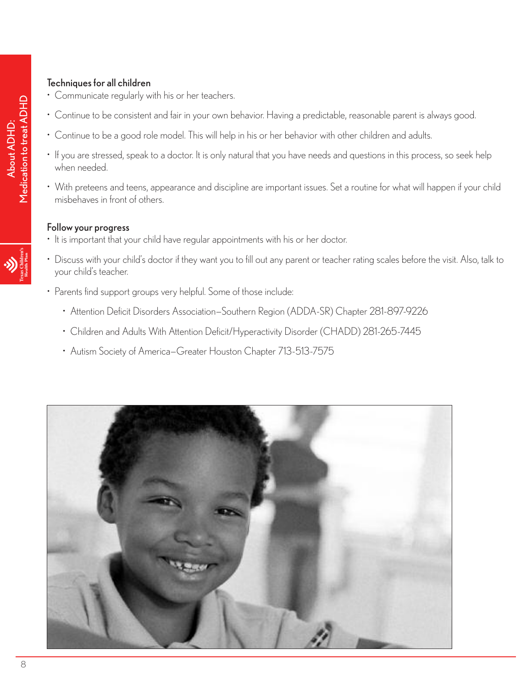#### Techniques for all children

- Communicate regularly with his or her teachers.
- Continue to be consistent and fair in your own behavior. Having a predictable, reasonable parent is always good.
- Continue to be a good role model. This will help in his or her behavior with other children and adults.
- If you are stressed, speak to a doctor. It is only natural that you have needs and questions in this process, so seek help when needed.
- With preteens and teens, appearance and discipline are important issues. Set a routine for what will happen if your child misbehaves in front of others.

#### Follow your progress

- It is important that your child have regular appointments with his or her doctor.
- Discuss with your child's doctor if they want you to fill out any parent or teacher rating scales before the visit. Also, talk to your child's teacher.
- Parents find support groups very helpful. Some of those include:
	- Attention Deficit Disorders Association—Southern Region (ADDA-SR) Chapter 281-897-9226
	- Children and Adults With Attention Deficit/Hyperactivity Disorder (CHADD) 281-265-7445
	- Autism Society of America—Greater Houston Chapter 713-513-7575

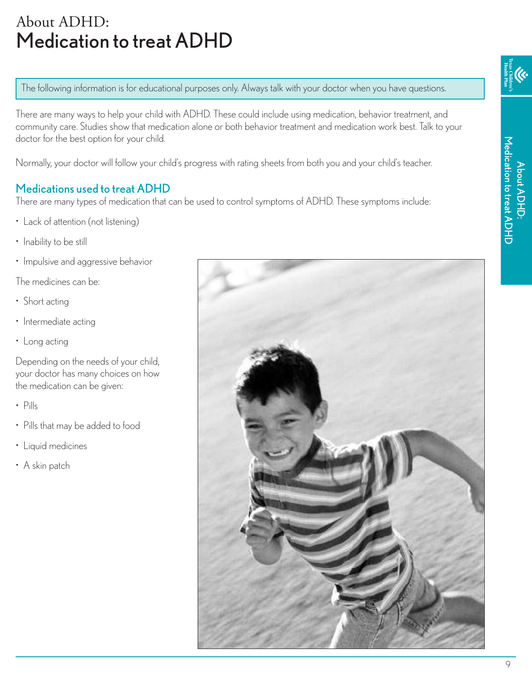### About ADHD: Medication to treat ADHD

The following information is for educational purposes only. Always talk with your doctor when you have questions.

There are many ways to help your child with ADHD. These could include using medication, behavior treatment, and community care. Studies show that medication alone or both behavior treatment and medication work best. Talk to your doctor for the best option for your child.

Normally, your doctor will follow your child's progress with rating sheets from both you and your child's teacher.

#### Medications used to treat ADHD

There are many types of medication that can be used to control symptoms of ADHD. These symptoms include:

- Lack of attention (not listening)
- Inability to be still
- Impulsive and aggressive behavior

The medicines can be:

- Short acting
- Intermediate acting
- Long acting

Depending on the needs of your child, your doctor has many choices on how the medication can be given:

- Pills
- Pills that may be added to food
- Liquid medicines
- A skin patch



M e dic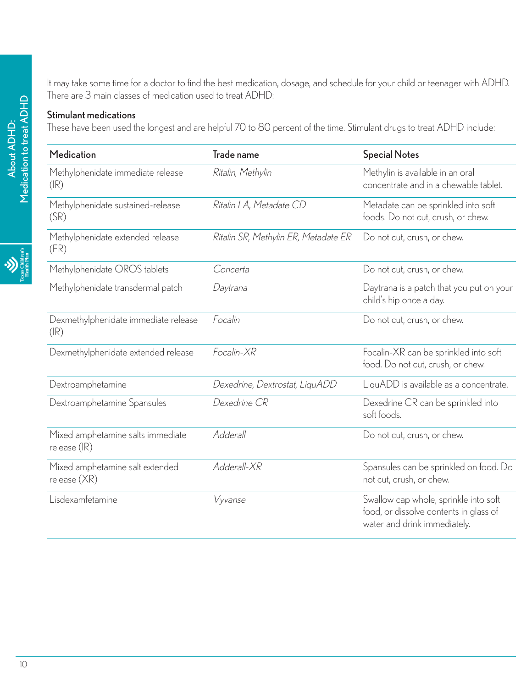It may take some time for a doctor to find the best medication, dosage, and schedule for your child or teenager with ADHD. There are 3 main classes of medication used to treat ADHD:

#### Stimulant medications

These have been used the longest and are helpful 70 to 80 percent of the time. Stimulant drugs to treat ADHD include:

| Medication                                                  | Trade name                           | <b>Special Notes</b>                                                                                            |
|-------------------------------------------------------------|--------------------------------------|-----------------------------------------------------------------------------------------------------------------|
| Methylphenidate immediate release<br>$(\mathbb{R})$         | Ritalin, Methylin                    | Methylin is available in an oral<br>concentrate and in a chewable tablet.                                       |
| Methylphenidate sustained-release<br>(SR)                   | Ritalin LA, Metadate CD              | Metadate can be sprinkled into soft<br>foods. Do not cut, crush, or chew.                                       |
| Methylphenidate extended release<br>(ER)                    | Ritalin SR, Methylin ER, Metadate ER | Do not cut, crush, or chew.                                                                                     |
| Methylphenidate OROS tablets                                | Concerta                             | Do not cut, crush, or chew.                                                                                     |
| Methylphenidate transdermal patch                           | Daytrana                             | Daytrana is a patch that you put on your<br>child's hip once a day.                                             |
| Dexmethylphenidate immediate release<br>$(\mathsf{IR})$     | Focalin                              | Do not cut, crush, or chew.                                                                                     |
| Dexmethylphenidate extended release                         | Focalin-XR                           | Focalin-XR can be sprinkled into soft<br>food. Do not cut, crush, or chew.                                      |
| Dextroamphetamine                                           | Dexedrine, Dextrostat, LiquADD       | LiquADD is available as a concentrate.                                                                          |
| Dextroamphetamine Spansules                                 | Dexedrine CR                         | Dexedrine CR can be sprinkled into<br>soft foods.                                                               |
| Mixed amphetamine salts immediate<br>release $(\mathbb{R})$ | Adderall                             | Do not cut, crush, or chew.                                                                                     |
| Mixed amphetamine salt extended<br>release $(XR)$           | Adderall-XR                          | Spansules can be sprinkled on food. Do<br>not cut, crush, or chew.                                              |
| Lisdexamfetamine                                            | Vyvanse                              | Swallow cap whole, sprinkle into soft<br>food, or dissolve contents in glass of<br>water and drink immediately. |

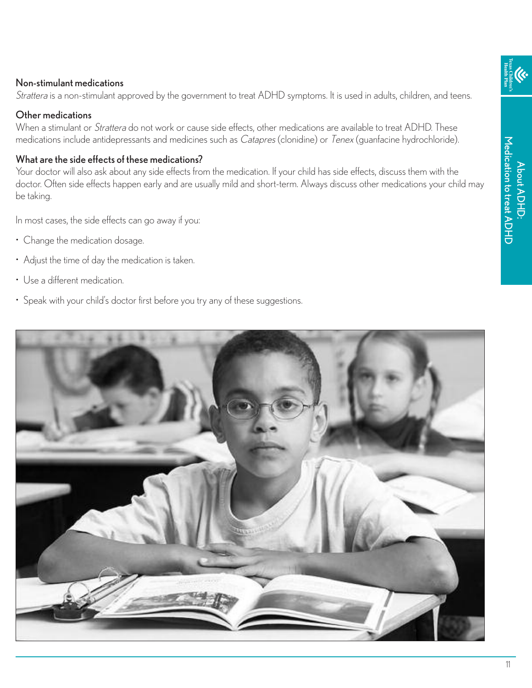#### Non-stimulant medications

Strattera is a non-stimulant approved by the government to treat ADHD symptoms. It is used in adults, children, and teens.

#### Other medications

When a stimulant or *Strattera* do not work or cause side effects, other medications are available to treat ADHD. These medications include antidepressants and medicines such as Catapres (clonidine) or Tenex (guanfacine hydrochloride).

#### What are the side effects of these medications?

Your doctor will also ask about any side effects from the medication. If your child has side effects, discuss them with the doctor. Often side effects happen early and are usually mild and short-term. Always discuss other medications your child may be taking.

In most cases, the side effects can go away if you:

- Change the medication dosage.
- Adjust the time of day the medication is taken.
- Use a different medication.
- Speak with your child's doctor first before you try any of these suggestions.

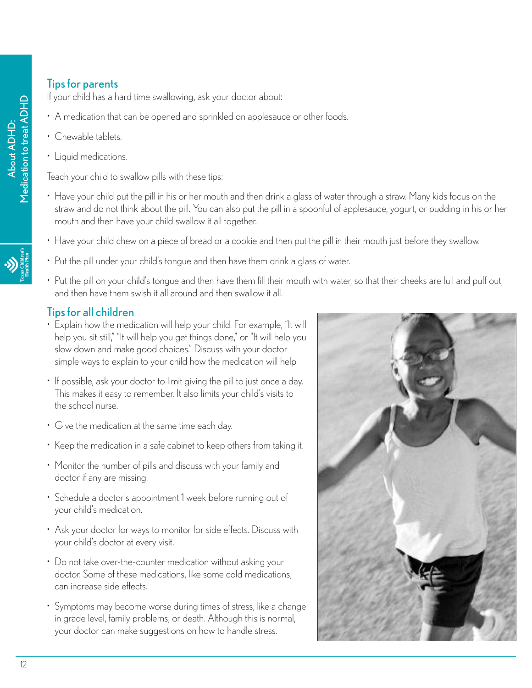#### **Tips for parents**

If your child has a hard time swallowing, ask your doctor about:

- A medication that can be opened and sprinkled on applesauce or other foods.
- Chewable tablets.
- Liquid medications.

Teach your child to swallow pills with these tips:

- Have your child put the pill in his or her mouth and then drink a glass of water through a straw. Many kids focus on the straw and do not think about the pill. You can also put the pill in a spoonful of applesauce, yogurt, or pudding in his or her mouth and then have your child swallow it all together.
- Have your child chew on a piece of bread or a cookie and then put the pill in their mouth just before they swallow.
- 
- Put the pill under your child's tongue and then have them drink a glass of water.
- Put the pill on your child's tongue and then have them fill their mouth with water, so that their cheeks are full and puff out, and then have them swish it all around and then swallow it all.

#### Tipsfor all children

- Explain how the medication will help your child. For example, "It will help you sit still," "It will help you get things done," or "It will help you slow down and make good choices." Discuss with your doctor simple ways to explain to your child how the medication will help.
- If possible, ask your doctor to limit giving the pill to just once a day. This makes it easy to remember. It also limits your child's visits to the school nurse.
- Give the medication at the same time each day.
- Keep the medication in a safe cabinet to keep others from taking it.
- Monitor the number of pills and discuss with your family and doctor if any are missing.
- Schedule a doctor's appointment 1 week before running out of your child's medication.
- Ask your doctor for ways to monitor for side effects. Discuss with your child's doctor at every visit.
- Do not take over-the-counter medication without asking your doctor. Some of these medications, like some cold medications, can increase side effects.
- Symptoms may become worse during times of stress, like a change in grade level, family problems, or death. Although this is normal, your doctor can make suggestions on how to handle stress.

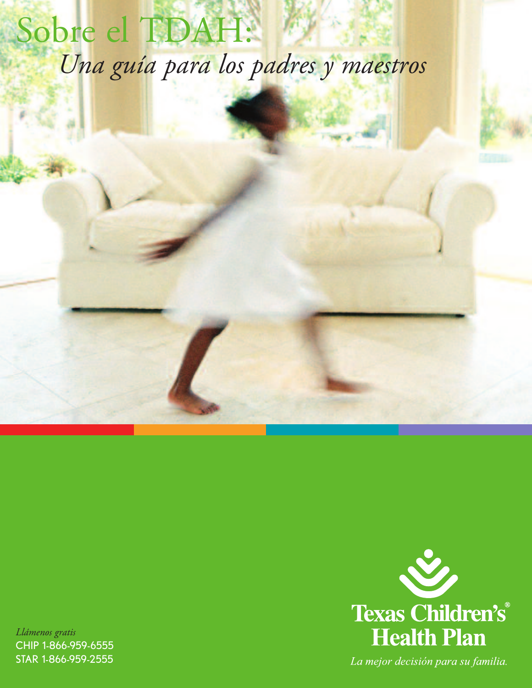# Sobre el TDAH: *Una guía para los padres y maestros*

*Llámenos gratis* CHIP 1-866-959-6555 STAR 1-866-959-2555



La mejor decisión para su familia.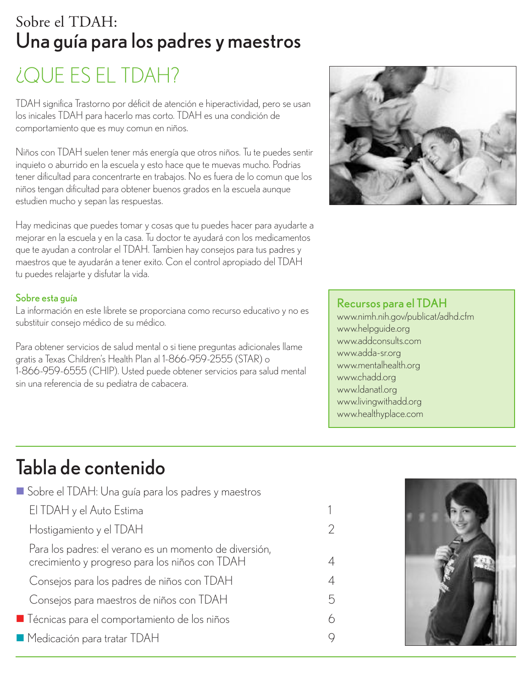### Sobre el TDAH: Una guía para los padres y maestros

## ¿QUE ES EL TDAH?

TDAH significa Trastorno por déficit de atención e hiperactividad, pero se usan los inicales TDAH para hacerlo mas corto. TDAH es una condición de comportamiento que es muy comun en niños.

Niños con TDAH suelen tener más energía que otros niños. Tu te puedes sentir inquieto o aburrido en la escuela y esto hace que te muevas mucho. Podrias tener dificultad para concentrarte en trabajos. No es fuera de lo comun que los niños tengan dificultad para obtener buenos grados en la escuela aunque estudien mucho y sepan las respuestas.

Hay medicinas que puedes tomar y cosas que tu puedes hacer para ayudarte a mejorar en la escuela y en la casa. Tu doctor te ayudará con los medicamentos que te ayudan a controlar el TDAH. Tambien hay consejos para tus padres y maestros que te ayudarán a tener exito. Con el control apropiado del TDAH tu puedes relajarte y disfutar la vida.

#### Sobre esta guía

La información en este librete se proporciana como recurso educativo y no es substituir consejo médico de su médico.

Para obtener servicios de salud mental o si tiene preguntas adicionales llame gratis a Texas Children's Health Plan al 1-866-959-2555 (STAR) o 1-866-959-6555 (CHIP). Usted puede obtener servicios para salud mental sin una referencia de su pediatra de cabacera.



#### Recursos para el TDAH

www.nimh.nih.gov/publicat/adhd.cfm www.helpguide.org www.addconsults.com www.adda-sr.org www.mentalhealth.org www.chadd.org www.ldanatl.org www.livingwithadd.org www.healthyplace.com

## Tabla de contenido

| Sobre el TDAH: Una guía para los padres y maestros                                                       |   |
|----------------------------------------------------------------------------------------------------------|---|
| El TDAH y el Auto Estima                                                                                 |   |
| Hostigamiento y el TDAH                                                                                  | 2 |
| Para los padres: el verano es un momento de diversión,<br>crecimiento y progreso para los niños con TDAH | 4 |
| Consejos para los padres de niños con TDAH                                                               | 4 |
| Consejos para maestros de niños con TDAH                                                                 | 5 |
| ■ Técnicas para el comportamiento de los niños                                                           | 6 |
| ■ Medicación para tratar TDAH                                                                            | 9 |
|                                                                                                          |   |

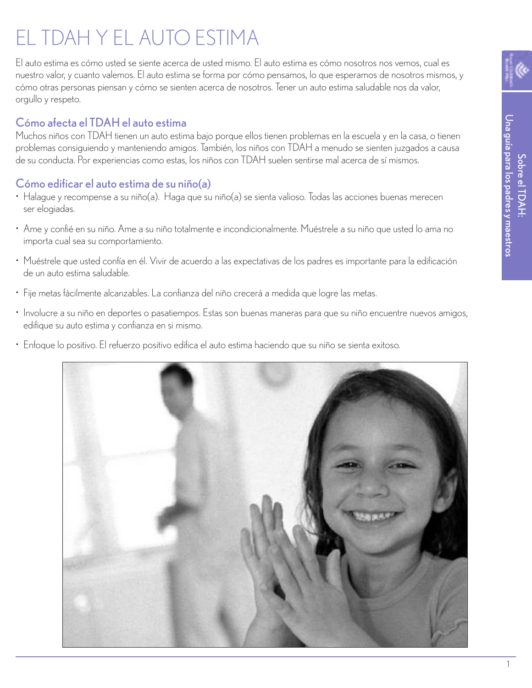## EL TDAH Y EL AUTO ESTIMA

El auto estima es cómo usted se siente acerca de usted mismo. El auto estima es cómo nosotros nos vemos, cual es nuestro valor, y cuanto valemos. El auto estima se forma por cómo pensamos, lo que esperamos de nosotros mismos, y cómo otras personas piensan y cómo se sienten acerca de nosotros. Tener un auto estima saludable nos da valor, orgullo y respeto.

#### Cómo afecta el TDAH el auto estima

Muchos niños con TDAH tienen un auto estima bajo porque ellos tienen problemas en la escuela y en la casa, o tienen problemas consiguiendo y manteniendo amigos. También, los niños con TDAH a menudo se sienten juzgados a causa de su conducta. Por experiencias como estas, los niños con TDAH suelen sentirse mal acerca de sí mismos.

#### Cómo edificar el auto estima de su niño(a)

- Halague y recompense a su niño(a). Haga que su niño(a) se sienta valioso. Todas las acciones buenas merecen ser elogiadas.
- Ame y confié en su niño. Ame a su niño totalmente e incondicionalmente. Muéstrele a su niño que usted lo ama no importa cual sea su comportamiento.
- Muéstrele que usted confía en él. Vivir de acuerdo a las expectativas de los padres es importante para la edificación de un auto estima saludable.
- Fije metas fácilmente alcanzables. La confianza del niño crecerá a medida que logre las metas.
- Involucre a su niño en deportes o pasatiempos. Estas son buenas maneras para que su niño encuentre nuevos amigos, edifique su auto estima y confianza en si mismo.
- Enfoque lo positivo. El refuerzo positivo edifica el auto estima haciendo que su niño se sienta exitoso.





Una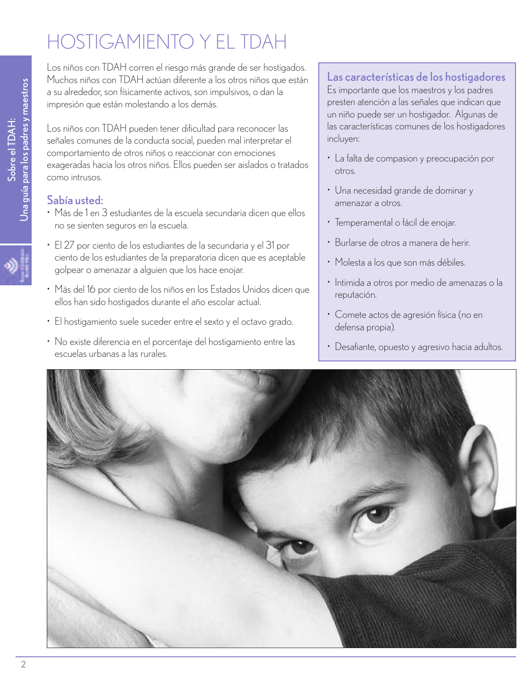## HOSTIGAMIENTO Y EL TDAH

Los niños con TDAH corren el riesgo más grande de ser hostigados. Muchos niños con TDAH actúan diferente a los otros niños que están a su alrededor, son físicamente activos, son impulsivos, o dan la impresión que están molestando a los demás.

Los niños con TDAH pueden tener dificultad para reconocer las señales comunes de la conducta social, pueden mal interpretar el comportamiento de otros niños o reaccionar con emociones exageradas hacia los otros niños. Ellos pueden ser aislados o tratados como intrusos.

#### Sabía usted:

- Más de 1 en 3 estudiantes de la escuela secundaria dicen que ellos no se sienten seguros en la escuela.
- El 27 por ciento de los estudiantes de la secundaria y el 31 por ciento de los estudiantes de la preparatoria dicen que es aceptable golpear o amenazar a alguien que los hace enojar.
- Más del 16 por ciento de los niños en los Estados Unidos dicen que ellos han sido hostigados durante el año escolar actual.
- El hostigamiento suele suceder entre el sexto y el octavo grado.
- No existe diferencia en el porcentaje del hostigamiento entre las escuelas urbanas a las rurales.

#### Las características de los hostigadores

Es importante que los maestros y los padres presten atención a las señales que indican que un niño puede ser un hostigador. Algunas de las características comunes de los hostigadores incluyen:

- La falta de compasion y preocupación por otros.
- Una necesidad grande de dominar y amenazar a otros.
- Temperamental o fácil de enojar.
- Burlarse de otros a manera de herir.
- Molesta a los que son más débiles.
- Intimida a otros por medio de amenazas o la reputación.
- Comete actos de agresión física (no en defensa propia).
- Desafiante, opuesto y agresivo hacia adultos.

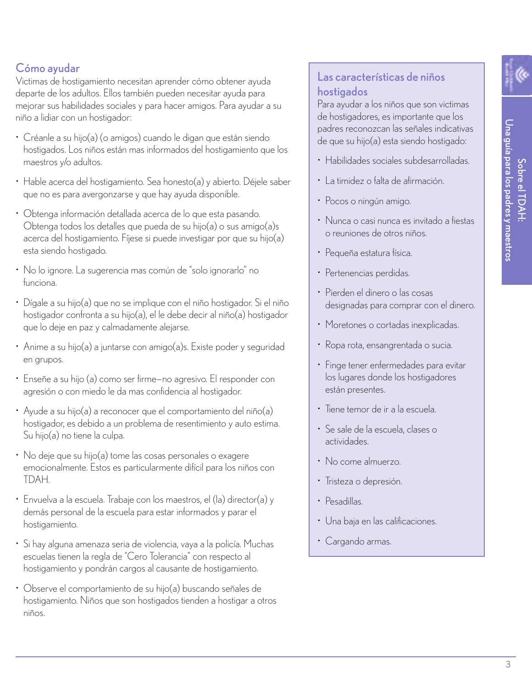#### Cómo ayudar

Victimas de hostigamiento necesitan aprender cómo obtener ayuda departe de los adultos. Ellos también pueden necesitar ayuda para mejorar sus habilidades sociales y para hacer amigos. Para ayudar a su niño a lidiar con un hostigador:

- Créanle a su hijo(a) (o amigos) cuando le digan que están siendo hostigados. Los niños están mas informados del hostigamiento que los maestros y/o adultos.
- Hable acerca del hostigamiento. Sea honesto(a) y abierto. Déjele saber que no es para avergonzarse y que hay ayuda disponible.
- Obtenga información detallada acerca de lo que esta pasando. Obtenga todos los detalles que pueda de su hijo(a) o sus amigo(a)s acerca del hostigamiento. Fíjese si puede investigar por que su hijo(a) esta siendo hostigado.
- No lo ignore. La sugerencia mas común de "solo ignorarlo" no funciona.
- Dígale a su hijo(a) que no se implique con el niño hostigador. Si el niño hostigador confronta a su hijo(a), el le debe decir al niño(a) hostigador que lo deje en paz y calmadamente alejarse.
- Anime a su hijo(a) a juntarse con amigo(a)s. Existe poder y seguridad en grupos.
- Enseñe a su hijo (a) como ser firme—no agresivo. El responder con agresión o con miedo le da mas confidencia al hostigador.
- Ayude a su hijo(a) a reconocer que el comportamiento del niño(a) hostigador, es debido a un problema de resentimiento y auto estima. Su hijo(a) no tiene la culpa.
- No deje que su hijo(a) tome las cosas personales o exagere emocionalmente. Estos es particularmente difícil para los niños con TDAH.
- Envuelva a la escuela. Trabaje con los maestros, el (la) director(a) y demás personal de la escuela para estar informados y parar el hostigamiento.
- Si hay alguna amenaza seria de violencia, vaya a la policía. Muchas escuelas tienen la regla de "Cero Tolerancia" con respecto al hostigamiento y pondrán cargos al causante de hostigamiento.
- Observe el comportamiento de su hijo(a) buscando señales de hostigamiento. Niños que son hostigados tienden a hostigar a otros niños.

#### Las características de niños hostigados

Para ayudar a los niños que son victimas de hostigadores, es importante que los padres reconozcan las señales indicativas de que su hijo(a) esta siendo hostigado:

- Habilidades sociales subdesarrolladas.
- La timidez o falta de afirmación.
- Pocos o ningún amigo.
- Nunca o casi nunca es invitado a fiestas o reuniones de otros niños.
- Pequeña estatura física.
- Pertenencias perdidas.
- Pierden el dinero o las cosas designadas para comprar con el dinero.
- Moretones o cortadas inexplicadas.
- Ropa rota, ensangrentada o sucia.
- Finge tener enfermedades para evitar los lugares donde los hostigadores están presentes.
- Tiene temor de ir a la escuela.
- Se sale de la escuela, clases o actividades.
- No come almuerzo.
- Tristeza o depresión.
- Pesadillas.
- Una baja en las calificaciones.
- Cargando armas.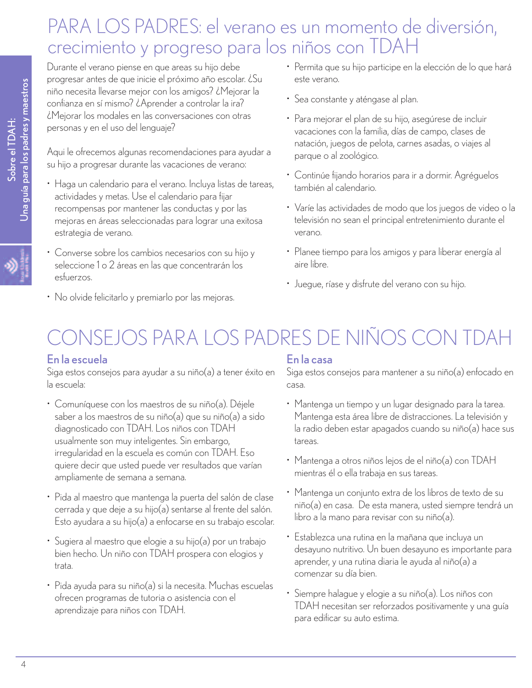### PARA LOS PADRES: el verano es un momento de diversión, crecimiento y progreso para los niños con TDAH

Durante el verano piense en que areas su hijo debe progresar antes de que inicie el próximo año escolar. ¿Su niño necesita llevarse mejor con los amigos? ¿Mejorar la confianza en sí mismo? ¿Aprender a controlar la ira? ¿Mejorar los modales en las conversaciones con otras personas y en el uso del lenguaje?

Aqui le ofrecemos algunas recomendaciones para ayudar a su hijo a progresar durante las vacaciones de verano:

- Haga un calendario para el verano. Incluya listas de tareas, actividades y metas. Use el calendario para fijar recompensas por mantener las conductas y por las mejoras en áreas seleccionadas para lograr una exitosa estrategia de verano.
- Converse sobre los cambios necesarios con su hijo y seleccione 1 o 2 áreas en las que concentrarán los esfuerzos.
- No olvide felicitarlo y premiarlo por las mejoras.
- Permita que su hijo participe en la elección de lo que hará este verano.
- Sea constante y aténgase al plan.
- Para mejorar el plan de su hijo, asegúrese de incluir vacaciones con la familia, días de campo, clases de natación, juegos de pelota, carnes asadas, o viajes al parque o al zoológico.
- Continúe fijando horarios para ir a dormir. Agréguelos también al calendario.
- Varíe las actividades de modo que los juegos de video o la televisión no sean el principal entretenimiento durante el verano.
- Planee tiempo para los amigos y para liberar energía al aire libre.
- Juegue, ríase y disfrute del verano con su hijo.

## ONSEJOS PARA LOS PADRES DE NIÑOS CON TDAH

#### En la escuela

Siga estos consejos para ayudar a su niño(a) a tener éxito en la escuela:

- Comuníquese con los maestros de su niño(a). Déjele saber a los maestros de su niño(a) que su niño(a) a sido diagnosticado con TDAH. Los niños con TDAH usualmente son muy inteligentes. Sin embargo, irregularidad en la escuela es común con TDAH. Eso quiere decir que usted puede ver resultados que varían ampliamente de semana a semana.
- Pida al maestro que mantenga la puerta del salón de clase cerrada y que deje a su hijo(a) sentarse al frente del salón. Esto ayudara a su hijo(a) a enfocarse en su trabajo escolar.
- Sugiera al maestro que elogie a su hijo(a) por un trabajo bien hecho. Un niño con TDAH prospera con elogios y trata.
- Pida ayuda para su niño(a) si la necesita. Muchas escuelas ofrecen programas de tutoria o asistencia con el aprendizaje para niños con TDAH.

#### En la casa

Siga estos consejos para mantener a su niño(a) enfocado en casa.

- Mantenga un tiempo y un lugar designado para la tarea. Mantenga esta área libre de distracciones. La televisión y la radio deben estar apagados cuando su niño(a) hace sus tareas.
- Mantenga a otros niños lejos de el niño(a) con TDAH mientras él o ella trabaja en sus tareas.
- Mantenga un conjunto extra de los libros de texto de su niño(a) en casa. De esta manera, usted siempre tendrá un libro a la mano para revisar con su niño(a).
- Establezca una rutina en la mañana que incluya un desayuno nutritivo. Un buen desayuno es importante para aprender, y una rutina diaria le ayuda al niño(a) a comenzar su día bien.
- Siempre halague y elogie a su niño(a). Los niños con TDAH necesitan ser reforzados positivamente y una guía para edificar su auto estima.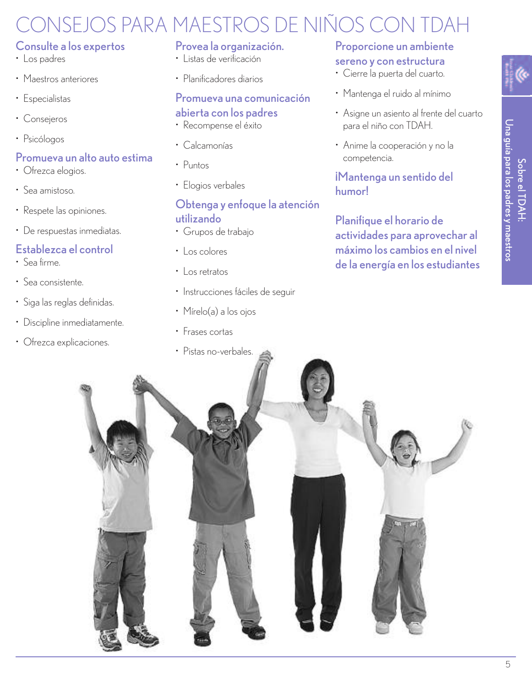## CONSEJOS PARA MAESTROS DE NIÑOS CON TDAH

#### Consulte a los expertos

- Los padres
- Maestros anteriores
- Especialistas
- Consejeros
- Psicólogos

#### Promueva un alto auto estima

- Ofrezca elogios.
- Sea amistoso.
- Respete las opiniones.
- De respuestas inmediatas.

#### Establezca el control

- Sea firme.
- Sea consistente.
- Siga las reglas definidas.
- Discipline inmediatamente.
- Ofrezca explicaciones.

#### Provea la organización.

- Listas de verificación
- Planificadores diarios

#### Promueva una comunicación

#### abierta con los padres

- Recompense el éxito
- Calcamonías
- Puntos
- Elogios verbales

#### Obtenga y enfoque la atención utilizando

- Grupos de trabajo
- Los colores
- Los retratos
- Instrucciones fáciles de seguir
- Mírelo(a) a los ojos
- Frases cortas
- 

#### Proporcione un ambiente sereno y con estructura

- Cierre la puerta del cuarto.
- Mantenga el ruido al mínimo
- Asigne un asiento al frente del cuarto para el niño con TDAH.
- Anime la cooperación y no la competencia.

#### ¡Mantenga un sentido del humor!

Planifique el horario de actividades para aprovechar al máximo los cambios en el nivel de la energía en los estudiantes

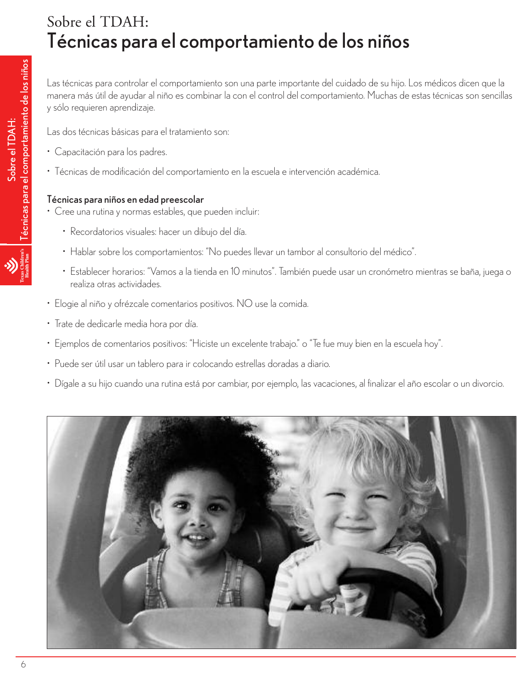### Sobre el TDAH: Técnicas para el comportamiento de los niños

Las técnicas para controlar el comportamiento son una parte importante del cuidado de su hijo. Los médicos dicen que la manera más útil de ayudar al niño es combinar la con el control del comportamiento. Muchas de estas técnicas son sencillas y sólo requieren aprendizaje.

Las dos técnicas básicas para el tratamiento son:

- Capacitación para los padres.
- Técnicas de modificación del comportamiento en la escuela e intervención académica.

#### Técnicas para niños en edad preescolar

- Cree una rutina y normas estables, que pueden incluir:
	- Recordatorios visuales: hacer un dibujo del día.
	- Hablar sobre los comportamientos: "No puedes llevar un tambor al consultorio del médico".
	- Establecer horarios: "Vamos a la tienda en 10 minutos". También puede usar un cronómetro mientras se baña, juega o realiza otras actividades.
- Elogie al niño y ofrézcale comentarios positivos. NO use la comida.
- Trate de dedicarle media hora por día.
- Ejemplos de comentarios positivos: "Hiciste un excelente trabajo." o "Te fue muy bien en la escuela hoy".
- Puede ser útil usar un tablero para ir colocando estrellas doradas a diario.
- Dígale a su hijo cuando una rutina está por cambiar, por ejemplo, las vacaciones, al finalizar el año escolar o un divorcio.

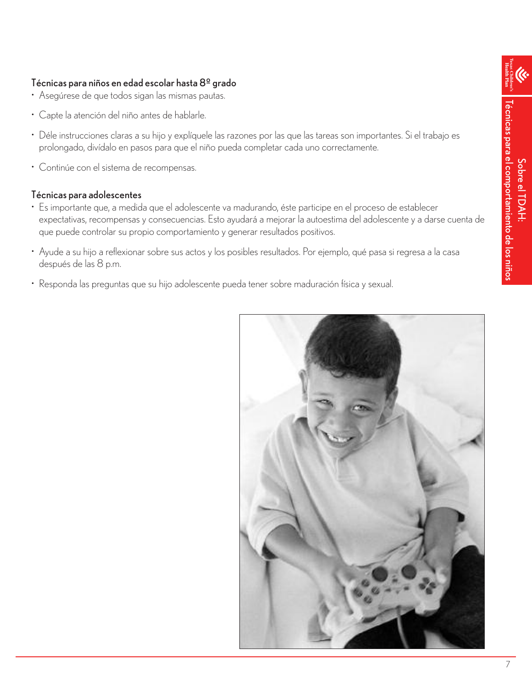#### Técnicas para niños en edad escolar hasta 8º grado

- Asegúrese de que todos sigan las mismas pautas.
- Capte la atención del niño antes de hablarle.
- Déle instrucciones claras a su hijo y explíquele las razones por las que las tareas son importantes. Si el trabajo es prolongado, divídalo en pasos para que el niño pueda completar cada uno correctamente.
- Continúe con el sistema de recompensas.

#### Técnicas para adolescentes

- Es importante que, a medida que el adolescente va madurando, éste participe en el proceso de establecer expectativas, recompensas y consecuencias. Esto ayudará a mejorar la autoestima del adolescente y a darse cuenta de que puede controlar su propio comportamiento y generar resultados positivos.
- Ayude a su hijo a reflexionar sobre sus actos y los posibles resultados. Por ejemplo, qué pasa si regresa a la casa después de las 8 p.m.
- Responda las preguntas que su hijo adolescente pueda tener sobre maduración física y sexual.

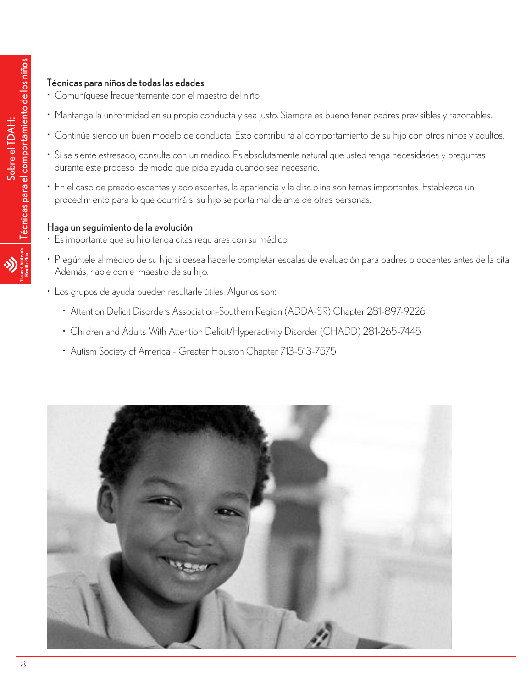#### Técnicas para niños de todas las edades

- Comuníquese frecuentemente con el maestro del niño.
- Mantenga la uniformidad en su propia conducta y sea justo. Siempre es bueno tener padres previsibles y razonables.
- Continúe siendo un buen modelo de conducta. Esto contribuirá al comportamiento de su hijo con otros niños y adultos.
- Si se siente estresado, consulte con un médico. Es absolutamente natural que usted tenga necesidades y preguntas durante este proceso, de modo que pida ayuda cuando sea necesario.
- En el caso de preadolescentes y adolescentes, la apariencia y la disciplina son temas importantes. Establezca un procedimiento para lo que ocurrirá si su hijo se porta mal delante de otras personas.

#### Haga un seguimiento de la evolución

- Es importante que su hijo tenga citas regulares con su médico.
- Pregúntele al médico de su hijo si desea hacerle completar escalas de evaluación para padres o docentes antes de la cita. Además, hable con el maestro de su hijo.
- Los grupos de ayuda pueden resultarle útiles. Algunos son:
	- Attention Deficit Disorders Association-Southern Region (ADDA-SR) Chapter 281-897-9226
	- Children and Adults With Attention Deficit/Hyperactivity Disorder (CHADD) 281-265-7445
	- Autism Society of America Greater Houston Chapter 713-513-7575

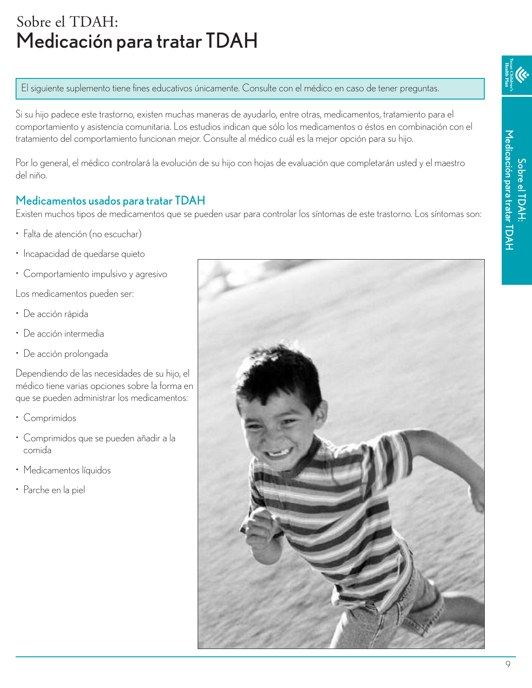### Sobre el TDAH: Medicación para tratar TDAH

El siguiente suplemento tiene fines educativos únicamente. Consulte con el médico en caso de tener preguntas.

Si su hijo padece este trastorno, existen muchas maneras de ayudarlo, entre otras, medicamentos, tratamiento para el comportamiento y asistencia comunitaria. Los estudios indican que sólo los medicamentos o éstos en combinación con el tratamiento del comportamiento funcionan mejor. Consulte al médico cuál es la mejor opción para su hijo.

Por lo general, el médico controlará la evolución de su hijo con hojas de evaluación que completarán usted y el maestro del niño.

#### Medicamentos usados para tratar TDAH

Existen muchos tipos de medicamentos que se pueden usar para controlar los síntomas de este trastorno. Los síntomas son:

- Falta de atención (no escuchar)
- Incapacidad de quedarse quieto
- Comportamiento impulsivo y agresivo

Los medicamentos pueden ser:

- De acción rápida
- De acción intermedia
- De acción prolongada

Dependiendo de las necesidades de su hijo, el médico tiene varias opciones sobre la forma en que se pueden administrar los medicamentos:

- Comprimidos
- Comprimidos que se pueden añadir a la comida
- Medicamentos líquidos
- Parche en la piel

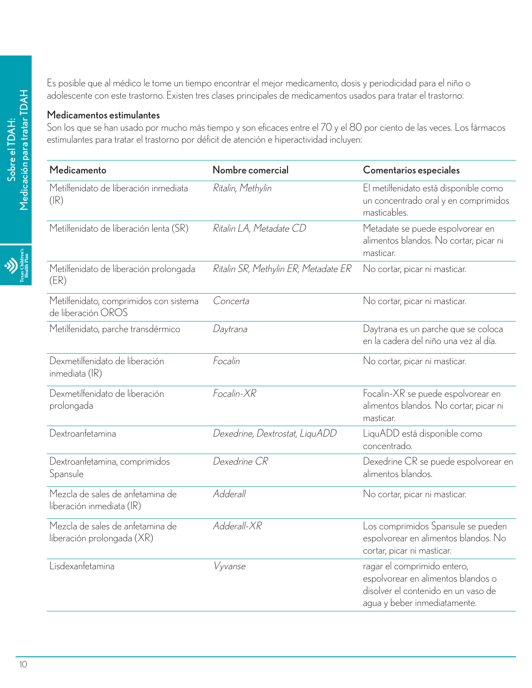Es posible que al médico le tome un tiempo encontrar el mejor medicamento, dosis y periodicidad para el niño o adolescente con este trastorno. Existen tres clases principales de medicamentos usados para tratar el trastorno:

#### Medicamentos estimulantes

Son los que se han usado por mucho más tiempo y son eficaces entre el 70 y el 80 por ciento de las veces. Los fármacos estimulantes para tratar el trastorno por déficit de atención e hiperactividad incluyen:

| Medicamento                                                    | Nombre comercial                     | Comentarios especiales                                                                                                                   |
|----------------------------------------------------------------|--------------------------------------|------------------------------------------------------------------------------------------------------------------------------------------|
| Metilfenidato de liberación inmediata<br>$(\mathsf{IR})$       | Ritalin, Methylin                    | El metilfenidato está disponible como<br>un concentrado oral y en comprimidos<br>masticables.                                            |
| Metilfenidato de liberación lenta (SR)                         | Ritalin LA, Metadate CD              | Metadate se puede espolvorear en<br>alimentos blandos. No cortar, picar ni<br>masticar.                                                  |
| Metilfenidato de liberación prolongada<br>(ER)                 | Ritalin SR, Methylin ER, Metadate ER | No cortar, picar ni masticar.                                                                                                            |
| Metilfenidato, comprimidos con sistema<br>de liberación OROS   | Concerta                             | No cortar, picar ni masticar.                                                                                                            |
| Metilfenidato, parche transdérmico                             | Daytrana                             | Daytrana es un parche que se coloca<br>en la cadera del niño una vez al día.                                                             |
| Dexmetilfenidato de liberación<br>inmediata (IR)               | Focalin                              | No cortar, picar ni masticar.                                                                                                            |
| Dexmetilfenidato de liberación<br>prolongada                   | Focalin-XR                           | Focalin-XR se puede espolvorear en<br>alimentos blandos. No cortar, picar ni<br>masticar.                                                |
| Dextroanfetamina                                               | Dexedrine, Dextrostat, LiquADD       | LiquADD está disponible como<br>concentrado.                                                                                             |
| Dextroanfetamina, comprimidos<br>Spansule                      | Dexedrine CR                         | Dexedrine CR se puede espolvorear en<br>alimentos blandos.                                                                               |
| Mezcla de sales de anfetamina de<br>liberación inmediata (IR)  | Adderall                             | No cortar, picar ni masticar.                                                                                                            |
| Mezcla de sales de anfetamina de<br>liberación prolongada (XR) | Adderall-XR                          | Los comprimidos Spansule se pueden<br>espolvorear en alimentos blandos. No<br>cortar, picar ni masticar.                                 |
| Lisdexanfetamina                                               | Vyvanse                              | ragar el comprimido entero,<br>espolvorear en alimentos blandos o<br>disolver el contenido en un vaso de<br>agua y beber inmediatamente. |

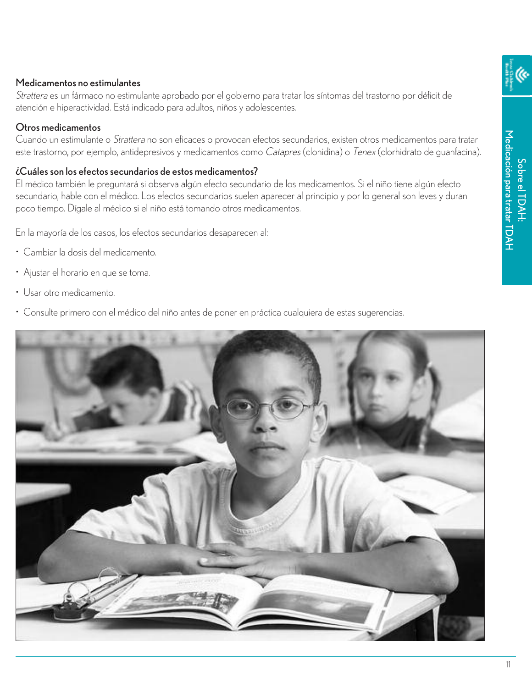#### Medicamentos no estimulantes

Strattera es un fármaco no estimulante aprobado por el gobierno para tratar los síntomas del trastorno por déficit de atención e hiperactividad. Está indicado para adultos, niños y adolescentes.

#### Otros medicamentos

Cuando un estimulante o Strattera no son eficaces o provocan efectos secundarios, existen otros medicamentos para tratar este trastorno, por ejemplo, antidepresivos y medicamentos como Catapres (clonidina) o Tenex (clorhidrato de guanfacina).

#### ¿Cuáles son los efectos secundarios de estos medicamentos?

El médico también le preguntará si observa algún efecto secundario de los medicamentos. Si el niño tiene algún efecto secundario, hable con el médico. Los efectos secundarios suelen aparecer al principio y por lo general son leves y duran poco tiempo. Dígale al médico si el niño está tomando otros medicamentos.

En la mayoría de los casos, los efectos secundarios desaparecen al:

- Cambiar la dosis del medicamento.
- Ajustar el horario en que se toma.
- Usar otro medicamento.
- Consulte primero con el médico del niño antes de poner en práctica cualquiera de estas sugerencias.